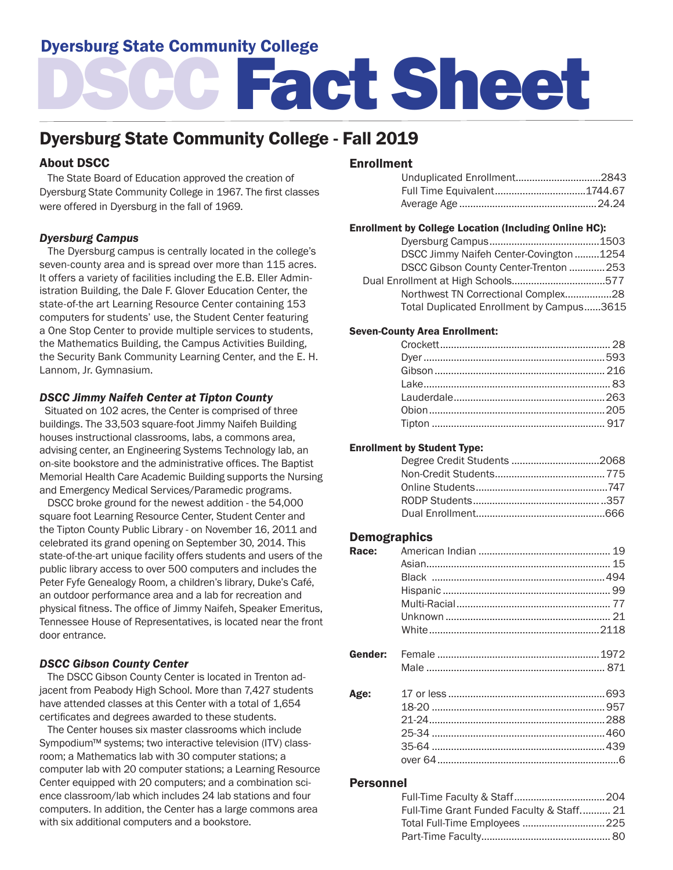# Dyersburg State Community College

# DSCC Fact Sheet

# Dyersburg State Community College - Fall 2019

# About DSCC

 The State Board of Education approved the creation of Dyersburg State Community College in 1967. The first classes were offered in Dyersburg in the fall of 1969.

# *Dyersburg Campus*

 The Dyersburg campus is centrally located in the college's seven-county area and is spread over more than 115 acres. It offers a variety of facilities including the E.B. Eller Administration Building, the Dale F. Glover Education Center, the state-of-the art Learning Resource Center containing 153 computers for students' use, the Student Center featuring a One Stop Center to provide multiple services to students, the Mathematics Building, the Campus Activities Building, the Security Bank Community Learning Center, and the E. H. Lannom, Jr. Gymnasium.

## *DSCC Jimmy Naifeh Center at Tipton County*

 Situated on 102 acres, the Center is comprised of three buildings. The 33,503 square-foot Jimmy Naifeh Building houses instructional classrooms, labs, a commons area, advising center, an Engineering Systems Technology lab, an on-site bookstore and the administrative offices. The Baptist Memorial Health Care Academic Building supports the Nursing and Emergency Medical Services/Paramedic programs.

 DSCC broke ground for the newest addition - the 54,000 square foot Learning Resource Center, Student Center and the Tipton County Public Library - on November 16, 2011 and celebrated its grand opening on September 30, 2014. This state-of-the-art unique facility offers students and users of the public library access to over 500 computers and includes the Peter Fyfe Genealogy Room, a children's library, Duke's Café, an outdoor performance area and a lab for recreation and physical fitness. The office of Jimmy Naifeh, Speaker Emeritus, Tennessee House of Representatives, is located near the front door entrance.

## *DSCC Gibson County Center*

 The DSCC Gibson County Center is located in Trenton adjacent from Peabody High School. More than 7,427 students have attended classes at this Center with a total of 1,654 certificates and degrees awarded to these students.

 The Center houses six master classrooms which include Sympodium™ systems; two interactive television (ITV) classroom; a Mathematics lab with 30 computer stations; a computer lab with 20 computer stations; a Learning Resource Center equipped with 20 computers; and a combination science classroom/lab which includes 24 lab stations and four computers. In addition, the Center has a large commons area with six additional computers and a bookstore.

# Enrollment

| Unduplicated Enrollment2843 |  |
|-----------------------------|--|
|                             |  |
|                             |  |

#### Enrollment by College Location (Including Online HC):

| DSCC Jimmy Naifeh Center-Covington1254    |  |
|-------------------------------------------|--|
| DSCC Gibson County Center-Trenton  253    |  |
|                                           |  |
| Northwest TN Correctional Complex28       |  |
| Total Duplicated Enrollment by Campus3615 |  |

#### Seven-County Area Enrollment:

#### Enrollment by Student Type:

## **Demographics**

| Race:   |  |
|---------|--|
|         |  |
|         |  |
|         |  |
|         |  |
|         |  |
|         |  |
|         |  |
| Gender: |  |
|         |  |
|         |  |
| Age:    |  |
|         |  |
|         |  |
|         |  |
|         |  |
|         |  |

#### Personnel

| Full-Time Grant Funded Faculty & Staff 21 |  |
|-------------------------------------------|--|
| Total Full-Time Employees  225            |  |
|                                           |  |